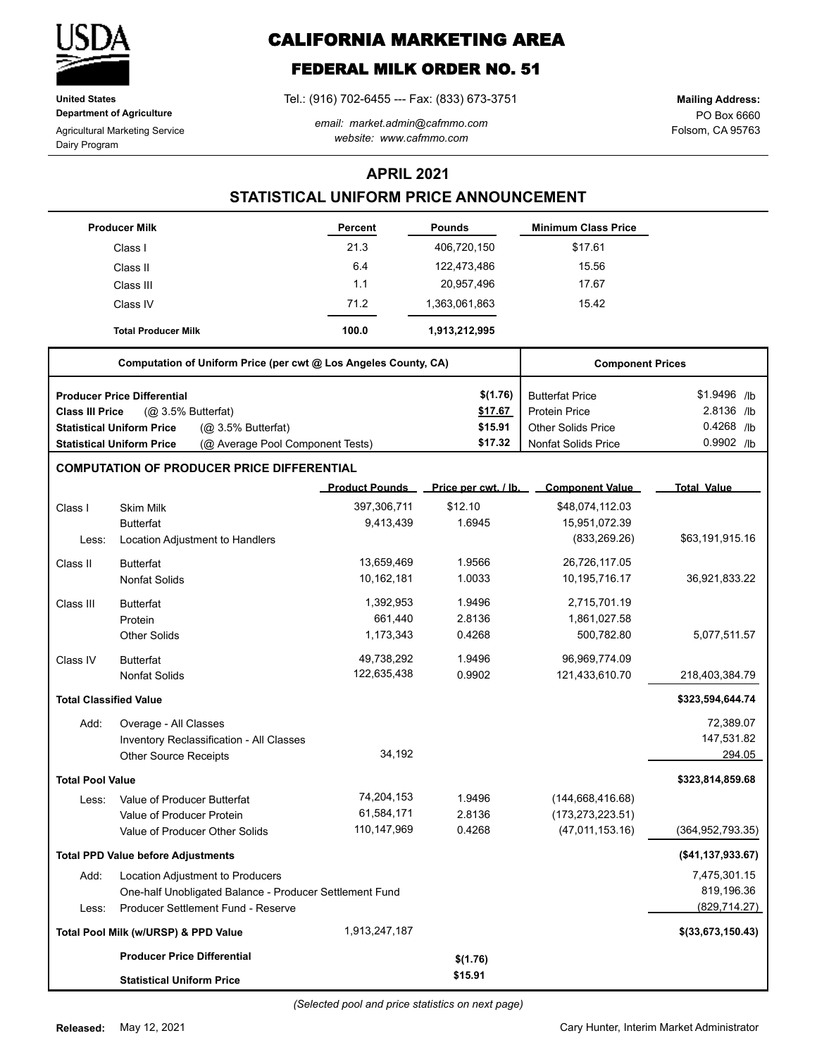

**United States Department of Agriculture**

Agricultural Marketing Service Dairy Program

**CALIFORNIA MARKETING AREA**

# **FEDERAL MILK ORDER NO. 51**

Tel.: (916) 702-6455 --- Fax: (833) 673-3751

*email: market.admin@cafmmo.com website: www.cafmmo.com*

PO Box 6660 Folsom, CA 95763 **Mailing Address:**

### **APRIL 2021**

### **STATISTICAL UNIFORM PRICE ANNOUNCEMENT**

|                               | <b>Producer Milk</b>                                                 | <b>Percent</b>        | <b>Pounds</b>        | <b>Minimum Class Price</b> |                     |
|-------------------------------|----------------------------------------------------------------------|-----------------------|----------------------|----------------------------|---------------------|
|                               | Class I                                                              | 21.3                  | 406,720,150          | \$17.61                    |                     |
|                               | Class II                                                             | 6.4                   | 122,473,486          | 15.56                      |                     |
|                               | Class III                                                            | 1.1                   | 20,957,496           | 17.67                      |                     |
|                               | Class IV                                                             | 71.2                  | 1,363,061,863        | 15.42                      |                     |
|                               | <b>Total Producer Milk</b>                                           | 100.0                 | 1,913,212,995        |                            |                     |
|                               | Computation of Uniform Price (per cwt @ Los Angeles County, CA)      |                       |                      | <b>Component Prices</b>    |                     |
|                               | <b>Producer Price Differential</b>                                   |                       | \$(1.76)             | <b>Butterfat Price</b>     | \$1.9496 /lb        |
| <b>Class III Price</b>        | (Q <sub>2</sub> 3.5% Butterfat)                                      |                       | \$17.67              | <b>Protein Price</b>       | 2.8136 /lb          |
|                               | <b>Statistical Uniform Price</b><br>(Q <sub>2</sub> 3.5% Butterfat)  |                       | \$15.91              | <b>Other Solids Price</b>  | 0.4268 /lb          |
|                               | <b>Statistical Uniform Price</b><br>(@ Average Pool Component Tests) |                       | \$17.32              | <b>Nonfat Solids Price</b> | 0.9902 /lb          |
|                               | <b>COMPUTATION OF PRODUCER PRICE DIFFERENTIAL</b>                    |                       |                      |                            |                     |
|                               |                                                                      | <b>Product Pounds</b> | Price per cwt. / lb. | <b>Component Value</b>     | <b>Total Value</b>  |
| Class I                       | <b>Skim Milk</b>                                                     | 397,306,711           | \$12.10              | \$48,074,112.03            |                     |
|                               | <b>Butterfat</b>                                                     | 9,413,439             | 1.6945               | 15,951,072.39              |                     |
| Less:                         | Location Adjustment to Handlers                                      |                       |                      | (833, 269.26)              | \$63,191,915.16     |
| Class II                      | <b>Butterfat</b>                                                     | 13,659,469            | 1.9566               | 26,726,117.05              |                     |
|                               | <b>Nonfat Solids</b>                                                 | 10,162,181            | 1.0033               | 10,195,716.17              | 36,921,833.22       |
| Class III                     | <b>Butterfat</b>                                                     | 1,392,953             | 1.9496               | 2,715,701.19               |                     |
|                               | Protein                                                              | 661,440               | 2.8136               | 1,861,027.58               |                     |
|                               | <b>Other Solids</b>                                                  | 1,173,343             | 0.4268               | 500,782.80                 | 5,077,511.57        |
| Class IV                      | <b>Butterfat</b>                                                     | 49,738,292            | 1.9496               | 96,969,774.09              |                     |
|                               | <b>Nonfat Solids</b>                                                 | 122,635,438           | 0.9902               | 121,433,610.70             | 218,403,384.79      |
| <b>Total Classified Value</b> |                                                                      |                       |                      |                            | \$323,594,644.74    |
| Add:                          | Overage - All Classes                                                |                       |                      |                            | 72,389.07           |
|                               | Inventory Reclassification - All Classes                             |                       |                      |                            | 147,531.82          |
|                               | <b>Other Source Receipts</b>                                         | 34,192                |                      |                            | 294.05              |
| <b>Total Pool Value</b>       |                                                                      |                       |                      |                            | \$323,814,859.68    |
| Less:                         | Value of Producer Butterfat                                          | 74,204,153            | 1.9496               | (144, 668, 416.68)         |                     |
|                               | Value of Producer Protein                                            | 61,584,171            | 2.8136               | (173, 273, 223.51)         |                     |
|                               | Value of Producer Other Solids                                       | 110,147,969           | 0.4268               | (47,011,153.16)            | (364, 952, 793.35)  |
|                               | <b>Total PPD Value before Adjustments</b>                            |                       |                      |                            | (\$41,137,933.67)   |
| Add:                          | Location Adjustment to Producers                                     |                       |                      |                            | 7,475,301.15        |
|                               | One-half Unobligated Balance - Producer Settlement Fund              |                       |                      |                            | 819,196.36          |
| Less:                         | Producer Settlement Fund - Reserve                                   |                       |                      |                            | (829, 714.27)       |
|                               | Total Pool Milk (w/URSP) & PPD Value                                 | 1,913,247,187         |                      |                            | $$$ (33,673,150.43) |
|                               | <b>Producer Price Differential</b>                                   |                       | \$(1.76)             |                            |                     |
|                               | <b>Statistical Uniform Price</b>                                     |                       | \$15.91              |                            |                     |

Cary Hunter, Interim Market Administrator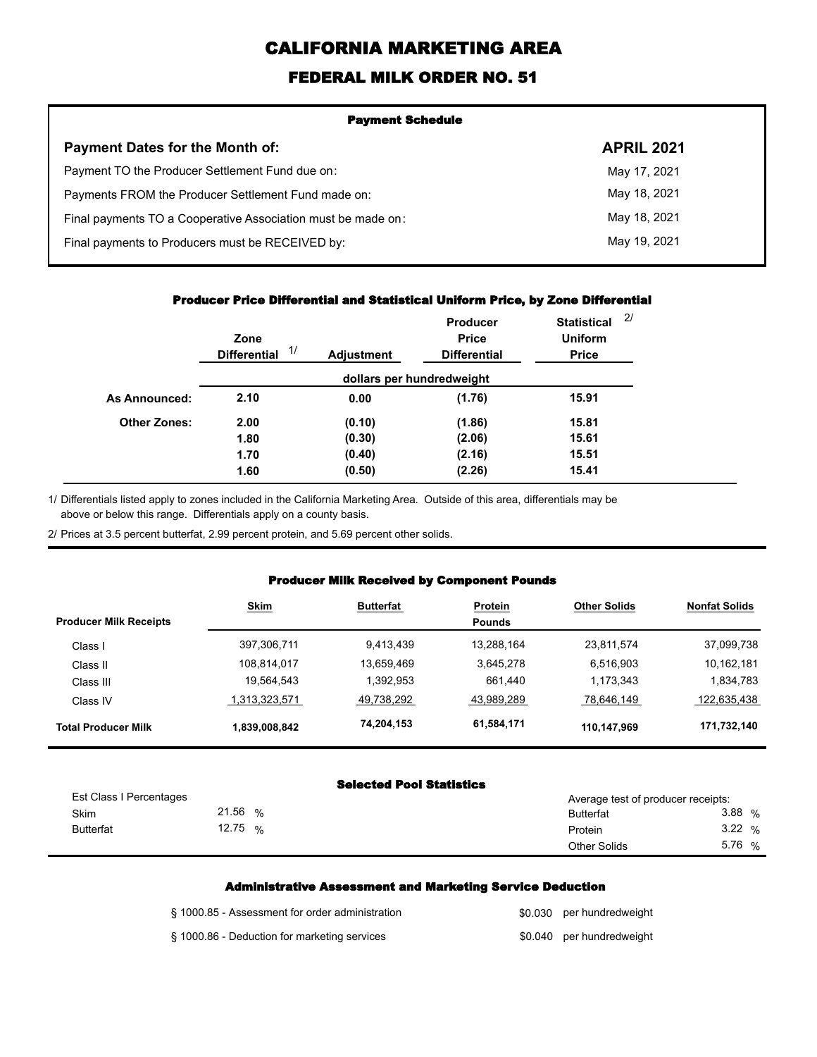# **CALIFORNIA MARKETING AREA**

## **FEDERAL MILK ORDER NO. 51**

| <b>Payment Schedule</b>                                      |                   |  |  |  |
|--------------------------------------------------------------|-------------------|--|--|--|
| <b>Payment Dates for the Month of:</b>                       | <b>APRIL 2021</b> |  |  |  |
| Payment TO the Producer Settlement Fund due on:              | May 17, 2021      |  |  |  |
| Payments FROM the Producer Settlement Fund made on:          | May 18, 2021      |  |  |  |
| Final payments TO a Cooperative Association must be made on: | May 18, 2021      |  |  |  |
| Final payments to Producers must be RECEIVED by:             | May 19, 2021      |  |  |  |

#### **Producer Price Differential and Statistical Uniform Price, by Zone Differential**

|                     | Zone<br>1/<br><b>Differential</b> | <b>Adjustment</b> | <b>Producer</b><br><b>Price</b><br><b>Differential</b> | <b>Statistical</b><br><b>Uniform</b><br><b>Price</b> | 2 <sup>1</sup> |
|---------------------|-----------------------------------|-------------------|--------------------------------------------------------|------------------------------------------------------|----------------|
|                     |                                   |                   | dollars per hundredweight                              |                                                      |                |
| As Announced:       | 2.10                              | 0.00              | (1.76)                                                 | 15.91                                                |                |
| <b>Other Zones:</b> | 2.00                              | (0.10)            | (1.86)                                                 | 15.81                                                |                |
|                     | 1.80                              | (0.30)            | (2.06)                                                 | 15.61                                                |                |
|                     | 1.70                              | (0.40)            | (2.16)                                                 | 15.51                                                |                |
|                     | 1.60                              | (0.50)            | (2.26)                                                 | 15.41                                                |                |

Differentials listed apply to zones included in the California Marketing Area. Outside of this area, differentials may be above or below this range. Differentials apply on a county basis. 1/

2/ Prices at 3.5 percent butterfat, 2.99 percent protein, and 5.69 percent other solids.

#### **Producer Milk Received by Component Pounds**

| <b>Producer Milk Receipts</b> | <b>Skim</b>   | <b>Butterfat</b> | <b>Protein</b><br><b>Pounds</b> | <b>Other Solids</b> | <b>Nonfat Solids</b> |
|-------------------------------|---------------|------------------|---------------------------------|---------------------|----------------------|
|                               |               |                  |                                 |                     |                      |
| Class I                       | 397,306,711   | 9,413,439        | 13.288.164                      | 23,811,574          | 37,099,738           |
| Class II                      | 108,814,017   | 13,659,469       | 3,645,278                       | 6,516,903           | 10,162,181           |
| Class III                     | 19,564,543    | 1,392,953        | 661,440                         | 1.173.343           | 1,834,783            |
| Class IV                      | 1,313,323,571 | 49,738,292       | 43,989,289                      | 78,646,149          | 122,635,438          |
| <b>Total Producer Milk</b>    | 1,839,008,842 | 74,204,153       | 61,584,171                      | 110,147,969         | 171,732,140          |

#### **Selected Pool Statistics**

| Est Class I Percentages |         |   | Average test of producer receipts: |        |
|-------------------------|---------|---|------------------------------------|--------|
| Skim                    | 21.56   | % | <b>Butterfat</b>                   | 3.88%  |
| <b>Butterfat</b>        | 12.75 % |   | Protein                            | 3.22%  |
|                         |         |   | <b>Other Solids</b>                | 5.76 % |

#### **Administrative Assessment and Marketing Service Deduction**

| § 1000.85 - Assessment for order administration | \$0.030 per hundredweight |
|-------------------------------------------------|---------------------------|
| § 1000.86 - Deduction for marketing services    | \$0.040 per hundredweight |